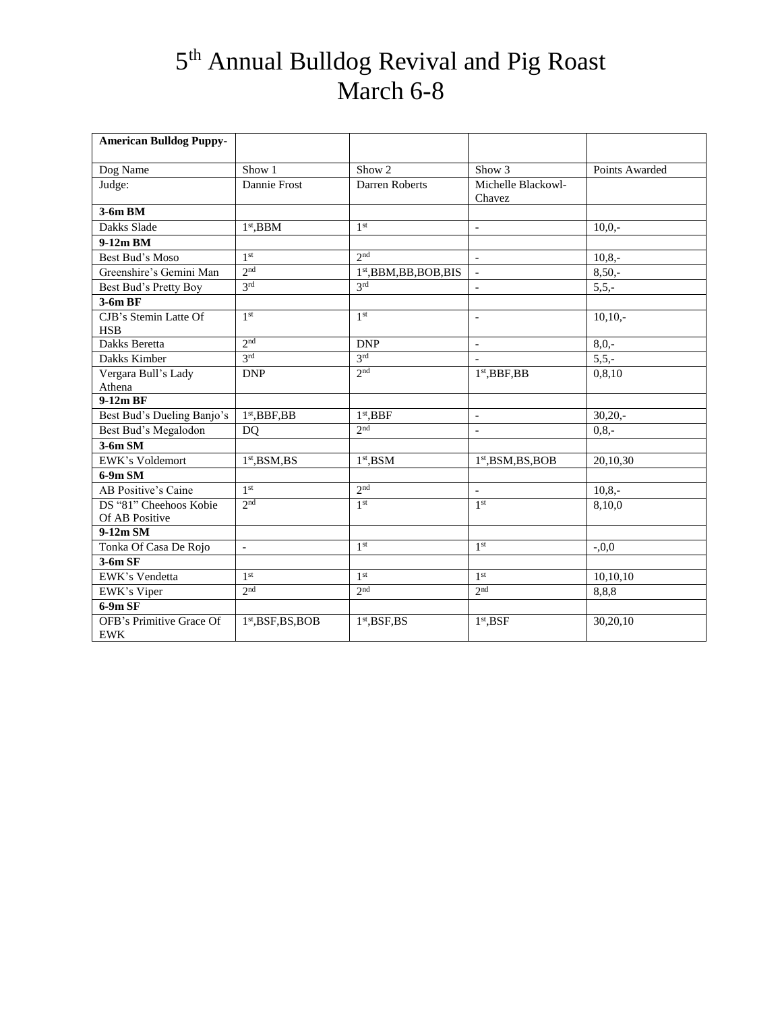| <b>American Bulldog Puppy-</b>         |                           |                                          |                                  |                |
|----------------------------------------|---------------------------|------------------------------------------|----------------------------------|----------------|
| Dog Name                               | Show 1                    | Show 2                                   | Show 3                           | Points Awarded |
| Judge:                                 | Dannie Frost              | Darren Roberts                           | Michelle Blackowl-<br>Chavez     |                |
| 3-6m BM                                |                           |                                          |                                  |                |
| Dakks Slade                            | $1st$ , BBM               | 1 <sup>st</sup>                          | $\qquad \qquad -$                | $10.0 -$       |
| 9-12m BM                               |                           |                                          |                                  |                |
| Best Bud's Moso                        | 1 <sup>st</sup>           | 2 <sub>nd</sub>                          | $\blacksquare$                   | $10,8,-$       |
| Greenshire's Gemini Man                | 2 <sup>nd</sup>           | $1st,$ BBM,BB,BOB,BIS                    | $\overline{\phantom{a}}$         | $8,50,-$       |
| Best Bud's Pretty Boy                  | 3 <sup>rd</sup>           | 2rd                                      | $\overline{a}$                   | $5,5,-$        |
| $3-6mBF$                               |                           |                                          |                                  |                |
| CJB's Stemin Latte Of<br><b>HSB</b>    | 1 <sup>st</sup>           | 1 <sup>st</sup>                          | $\overline{a}$                   | $10,10,-$      |
| Dakks Beretta                          | 2 <sup>nd</sup>           | <b>DNP</b>                               | $\qquad \qquad -$                | $8,0,-$        |
| Dakks Kimber                           | 3 <sup>rd</sup>           | 3 <sup>rd</sup>                          | $\overline{\phantom{a}}$         | $5, 5, -$      |
| Vergara Bull's Lady                    | <b>DNP</b>                | 2 <sup>nd</sup>                          | $1st$ , BBF, BB                  | 0,8,10         |
| Athena                                 |                           |                                          |                                  |                |
| 9-12m BF                               |                           |                                          |                                  |                |
| Best Bud's Dueling Banjo's             | $1st$ , BBF, BB           | $1st$ , BBF                              | $\qquad \qquad \blacksquare$     | $30,20,-$      |
| Best Bud's Megalodon                   | D <sub>O</sub>            | 2 <sub>nd</sub>                          | $\overline{a}$                   | $0, 8, -$      |
| $3-6m SM$                              |                           |                                          |                                  |                |
| EWK's Voldemort                        | 1 <sup>st</sup> , BSM, BS | $1st$ , BSM                              | 1 <sup>st</sup> , BSM, BS, BOB   | 20,10,30       |
| $6-9m$ SM                              |                           |                                          |                                  |                |
| AB Positive's Caine                    | 1 <sup>st</sup>           | 2 <sup>nd</sup>                          | $\overline{a}$                   | $10,8,-$       |
| DS "81" Cheehoos Kobie                 | 2 <sub>nd</sub>           | 1 <sup>st</sup>                          | 1 <sup>st</sup>                  | 8,10,0         |
| Of AB Positive                         |                           |                                          |                                  |                |
| 9-12m SM                               |                           |                                          |                                  |                |
| Tonka Of Casa De Rojo                  | $\qquad \qquad -$         | 1 <sup>st</sup>                          | 1 <sup>st</sup>                  | $-0,0$         |
| $3-6m$ SF                              |                           |                                          |                                  |                |
| EWK's Vendetta                         | 1 <sup>st</sup>           | 1 <sup>st</sup>                          | 1 <sup>st</sup>                  | 10,10,10       |
| EWK's Viper                            | $2n$ d                    | 2 <sup>nd</sup>                          | 2 <sup>nd</sup>                  | 8,8,8          |
| 6-9m SF                                |                           |                                          |                                  |                |
| OFB's Primitive Grace Of<br><b>EWK</b> | $1st,BSF,BS,BOB$          | 1 <sup>st</sup> , <b>BSF</b> , <b>BS</b> | 1 <sup>st</sup> , <sub>BSF</sub> | 30,20,10       |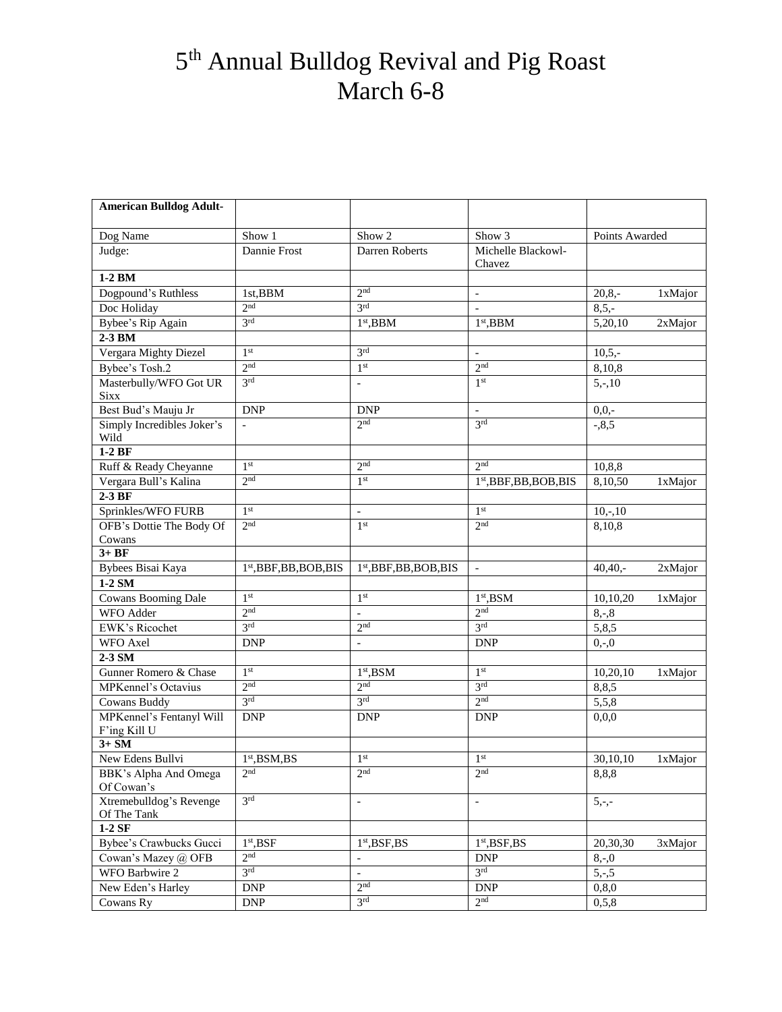| <b>American Bulldog Adult-</b>          |                                     |                                             |                                          |                  |         |
|-----------------------------------------|-------------------------------------|---------------------------------------------|------------------------------------------|------------------|---------|
| Dog Name                                | Show 1                              | Show 2                                      | Show 3                                   | Points Awarded   |         |
| Judge:                                  | Dannie Frost                        | Darren Roberts                              | Michelle Blackowl-<br>Chavez             |                  |         |
| 1-2 BM                                  |                                     |                                             |                                          |                  |         |
| Dogpound's Ruthless                     | 1st,BBM                             | 2 <sub>nd</sub>                             | $\overline{\phantom{a}}$                 | $20,8,-$         | 1xMajor |
| Doc Holiday                             | 2 <sub>nd</sub>                     | $\overline{3}$ rd                           |                                          | $8,5,-$          |         |
| Bybee's Rip Again                       | 3 <sup>rd</sup>                     | $1st$ , BBM                                 | 1 <sup>st</sup> , BBM                    | 5,20,10          | 2xMajor |
| 2-3 BM                                  |                                     |                                             |                                          |                  |         |
| Vergara Mighty Diezel                   | 1 <sup>st</sup>                     | 2rd                                         | $\overline{a}$                           | $10,5,-$         |         |
| Bybee's Tosh.2                          | 2 <sup>nd</sup>                     | 1 <sup>st</sup>                             | 2 <sub>nd</sub>                          | 8,10,8           |         |
| Masterbully/WFO Got UR<br><b>Sixx</b>   | 3 <sup>rd</sup>                     | $\overline{\phantom{a}}$                    | 1 <sup>st</sup>                          | $5, -10$         |         |
| Best Bud's Mauju Jr                     | <b>DNP</b>                          | <b>DNP</b>                                  | $\overline{\phantom{a}}$                 | $0,0,-$          |         |
| Simply Incredibles Joker's              | $\overline{\phantom{a}}$            | 2 <sup>nd</sup>                             | 3 <sup>rd</sup>                          | $-0.8,5$         |         |
| Wild                                    |                                     |                                             |                                          |                  |         |
| $1-2BF$                                 |                                     |                                             |                                          |                  |         |
| Ruff & Ready Cheyanne                   | 1 <sup>st</sup>                     | 2 <sub>nd</sub>                             | 2 <sub>nd</sub>                          | 10,8,8           |         |
| Vergara Bull's Kalina                   | 2 <sub>nd</sub>                     | 1 <sup>st</sup>                             | $1st$ , BBF, BB, BOB, BIS                | 8,10,50          | 1xMajor |
| $2-3BF$                                 |                                     |                                             |                                          |                  |         |
| Sprinkles/WFO FURB                      | 1 <sup>st</sup>                     | $\overline{\phantom{a}}$                    | 1 <sup>st</sup>                          | $10,-,10$        |         |
| OFB's Dottie The Body Of                | 2 <sub>nd</sub>                     | 1 <sup>st</sup>                             | 2 <sub>nd</sub>                          | 8,10,8           |         |
| Cowans                                  |                                     |                                             |                                          |                  |         |
| $3+BF$                                  |                                     |                                             |                                          |                  |         |
| Bybees Bisai Kaya                       | 1 <sup>st</sup> , BBF, BB, BOB, BIS | 1 <sup>st</sup> , BBF, BB, BOB, BIS         | $\overline{\phantom{a}}$                 | $40,40, -$       | 2xMajor |
| $1-2$ SM                                | 1 <sup>st</sup>                     |                                             |                                          |                  |         |
| <b>Cowans Booming Dale</b><br>WFO Adder | 2 <sup>nd</sup>                     | 1 <sup>st</sup>                             | $1st$ , BSM<br>2 <sub>nd</sub>           | 10,10,20         | 1xMajor |
| <b>EWK's Ricochet</b>                   | 3 <sup>rd</sup>                     | $\overline{\phantom{a}}$<br>2 <sup>nd</sup> | 3 <sup>rd</sup>                          | $8, -8$<br>5,8,5 |         |
| WFO Axel                                | <b>DNP</b>                          |                                             | DNP                                      |                  |         |
| 2-3 SM                                  |                                     | $\overline{\phantom{a}}$                    |                                          | $0,-0$           |         |
| Gunner Romero & Chase                   | 1 <sup>st</sup>                     | $1st$ , BSM                                 | 1 <sup>st</sup>                          | 10,20,10         | 1xMajor |
| <b>MPKennel's Octavius</b>              | 2 <sup>nd</sup>                     | 2 <sup>nd</sup>                             | 3 <sup>rd</sup>                          | 8,8,5            |         |
| <b>Cowans Buddy</b>                     | 3 <sup>rd</sup>                     | 3 <sup>rd</sup>                             | 2 <sup>nd</sup>                          | 5,5,8            |         |
| MPKennel's Fentanyl Will                | <b>DNP</b>                          | <b>DNP</b>                                  | <b>DNP</b>                               | 0,0,0            |         |
| F'ing Kill U                            |                                     |                                             |                                          |                  |         |
| $3+SM$                                  |                                     |                                             |                                          |                  |         |
| New Edens Bullvi                        | $1st$ , BSM, BS                     | 1 <sup>st</sup>                             | 1 <sup>st</sup>                          | 30,10,10         | 1xMajor |
| BBK's Alpha And Omega<br>Of Cowan's     | 2 <sup>nd</sup>                     | 2 <sup>nd</sup>                             | 2 <sup>nd</sup>                          | 8,8,8            |         |
| Xtremebulldog's Revenge<br>Of The Tank  | 3 <sup>rd</sup>                     | $\blacksquare$                              | $\overline{\phantom{a}}$                 | $5,-,-$          |         |
| $1-2SF$                                 |                                     |                                             |                                          |                  |         |
| Bybee's Crawbucks Gucci                 | 1 <sup>st</sup> , <b>BSF</b>        | 1 <sup>st</sup> , <b>BSF</b> , <b>BS</b>    | 1 <sup>st</sup> , <b>BSF</b> , <b>BS</b> | 20,30,30         | 3xMajor |
| Cowan's Mazey @ OFB                     | 2 <sup>nd</sup>                     | $\overline{\phantom{a}}$                    | <b>DNP</b>                               | $8, -0$          |         |
| WFO Barbwire 2                          | 3 <sup>rd</sup>                     | $\overline{\phantom{a}}$<br>2 <sup>nd</sup> | 2rd                                      | $5, -5$          |         |
| New Eden's Harley                       | <b>DNP</b>                          |                                             | <b>DNP</b>                               | 0, 8, 0          |         |
| Cowans Ry                               | <b>DNP</b>                          | 3 <sup>rd</sup>                             | 2 <sub>nd</sub>                          | 0, 5, 8          |         |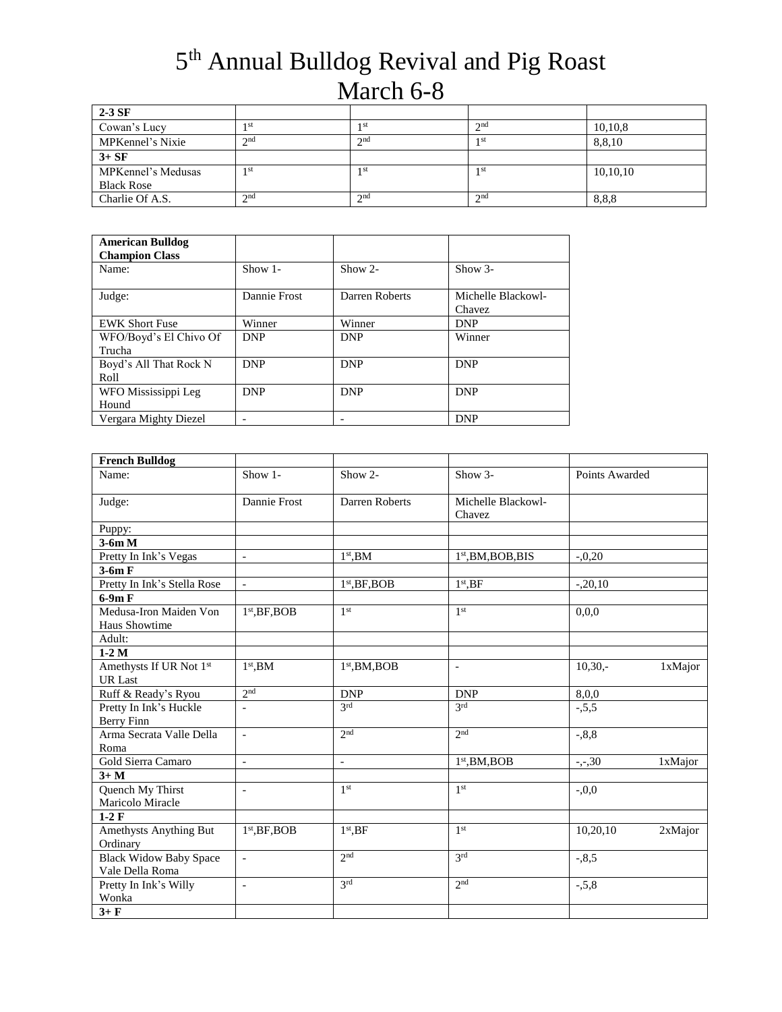| $2-3$ SF           |                 |                 |      |          |
|--------------------|-----------------|-----------------|------|----------|
| Cowan's Lucy       | -st             | 1 st            | 2nd  | 10,10,8  |
| MPKennel's Nixie   | $\gamma$ nd     | $\gamma$ nd     | 1 st | 8,8,10   |
| $3+SF$             |                 |                 |      |          |
| MPKennel's Medusas | 1 <sub>st</sub> | 1 st            | 1 st | 10,10,10 |
| <b>Black Rose</b>  |                 |                 |      |          |
| Charlie Of A.S.    | $\gamma$ nd     | 2 <sup>nd</sup> | 2nd  | 8,8,8    |

| <b>American Bulldog</b><br><b>Champion Class</b> |              |                |                    |
|--------------------------------------------------|--------------|----------------|--------------------|
| Name:                                            | Show 1-      | Show $2-$      | $Show 3-$          |
| Judge:                                           | Dannie Frost | Darren Roberts | Michelle Blackowl- |
|                                                  |              |                | Chavez             |
| <b>EWK Short Fuse</b>                            | Winner       | Winner         | <b>DNP</b>         |
| WFO/Boyd's El Chivo Of                           | <b>DNP</b>   | <b>DNP</b>     | Winner             |
| Trucha                                           |              |                |                    |
| Boyd's All That Rock N                           | <b>DNP</b>   | <b>DNP</b>     | <b>DNP</b>         |
| Roll                                             |              |                |                    |
| WFO Mississippi Leg                              | <b>DNP</b>   | <b>DNP</b>     | <b>DNP</b>         |
| Hound                                            |              |                |                    |
| Vergara Mighty Diezel                            |              |                | <b>DNP</b>         |

| <b>French Bulldog</b>                          |                          |                           |                              |                      |
|------------------------------------------------|--------------------------|---------------------------|------------------------------|----------------------|
| Name:                                          | Show 1-                  | Show 2-                   | Show 3-                      | Points Awarded       |
| Judge:                                         | Dannie Frost             | Darren Roberts            | Michelle Blackowl-<br>Chavez |                      |
| Puppy:                                         |                          |                           |                              |                      |
| $3-6m M$                                       |                          |                           |                              |                      |
| Pretty In Ink's Vegas                          | $\blacksquare$           | $1st$ .BM                 | $1st$ , BM, BOB, BIS         | $-.0,20$             |
| $3-6m F$                                       |                          |                           |                              |                      |
| Pretty In Ink's Stella Rose                    | $\bar{a}$                | 1 <sup>st</sup> , BF, BOB | $1st$ , BF                   | $-.20,10$            |
| $6-9m F$                                       |                          |                           |                              |                      |
| Medusa-Iron Maiden Von<br><b>Haus Showtime</b> | $1st$ , BF, BOB          | 1 <sup>st</sup>           | 1 <sup>st</sup>              | 0.0.0                |
| Adult:                                         |                          |                           |                              |                      |
| $1-2M$                                         |                          |                           |                              |                      |
| Amethysts If UR Not 1st<br><b>UR</b> Last      | $1st$ , BM               | $1st$ , BM, BOB           | $\qquad \qquad \blacksquare$ | $10,30,-$<br>1xMajor |
| Ruff & Ready's Ryou                            | 2 <sup>nd</sup>          | <b>DNP</b>                | <b>DNP</b>                   | 8,0,0                |
| Pretty In Ink's Huckle<br>Berry Finn           | $\blacksquare$           | 2rd                       | 2rd                          | $-5,5,5$             |
| Arma Secrata Valle Della<br>Roma               | $\overline{a}$           | 2 <sub>nd</sub>           | 2 <sub>nd</sub>              | $-0.8,8$             |
| Gold Sierra Camaro                             | $\overline{\phantom{a}}$ | $\overline{\phantom{a}}$  | $1st$ , BM, BOB              | $-,-,30$<br>1xMajor  |
| $3+M$                                          |                          |                           |                              |                      |
| <b>Quench My Thirst</b>                        | $\overline{a}$           | 1 <sup>st</sup>           | 1 <sup>st</sup>              | $-0.0$               |
| Maricolo Miracle                               |                          |                           |                              |                      |
| $1-2F$                                         |                          |                           |                              |                      |
| Amethysts Anything But<br>Ordinary             | $1st$ , BF, BOB          | $1st$ , BF                | 1 <sup>st</sup>              | 10,20,10<br>2xMajor  |
| <b>Black Widow Baby Space</b>                  | $\overline{\phantom{a}}$ | 2nd                       | 2rd                          | $-0.85$              |
| Vale Della Roma                                |                          |                           |                              |                      |
| Pretty In Ink's Willy<br>Wonka                 | $\blacksquare$           | 2rd                       | 2 <sub>nd</sub>              | $-5,8$               |
| $3 + F$                                        |                          |                           |                              |                      |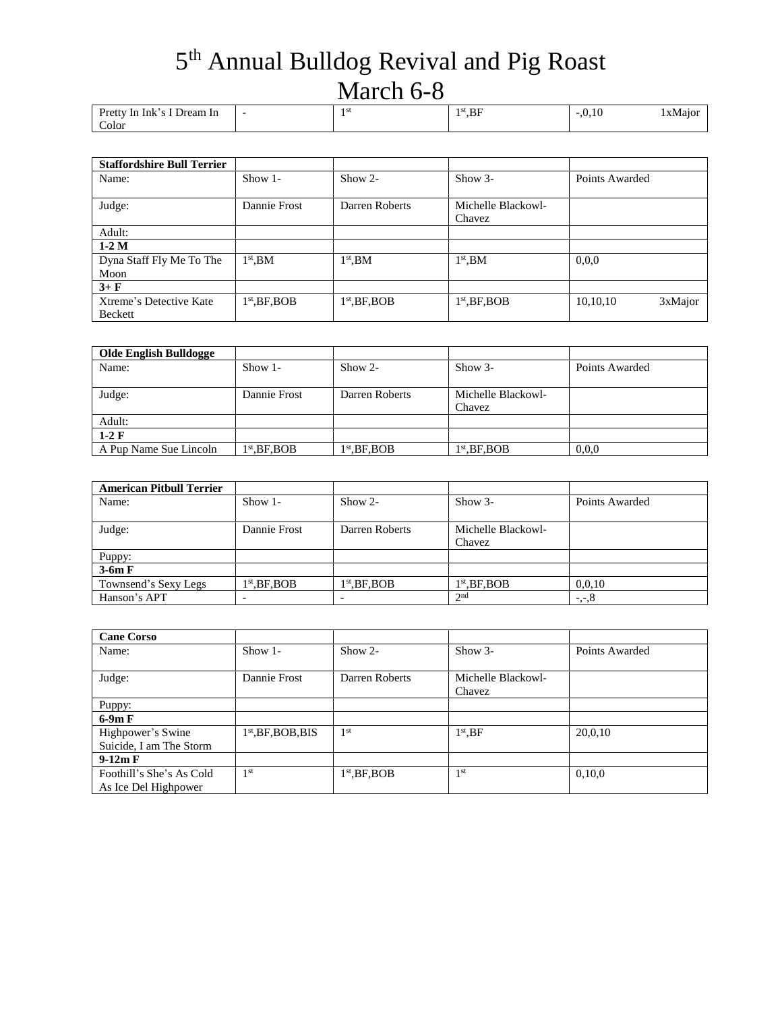| Pretty In Ink's I Dream In | $\overline{\phantom{0}}$ | ,BF | $-.0.10$ | 1 x Maior |
|----------------------------|--------------------------|-----|----------|-----------|
| Color                      |                          |     |          |           |

| <b>Staffordshire Bull Terrier</b>  |                 |                 |                              |                     |
|------------------------------------|-----------------|-----------------|------------------------------|---------------------|
| Name:                              | $Show 1-$       | $Show 2-$       | $Show 3-$                    | Points Awarded      |
| Judge:                             | Dannie Frost    | Darren Roberts  | Michelle Blackowl-<br>Chavez |                     |
| Adult:                             |                 |                 |                              |                     |
| $1-2M$                             |                 |                 |                              |                     |
| Dyna Staff Fly Me To The<br>Moon   | $1st$ .BM       | $1st$ , BM      | $1st$ , BM                   | 0.0.0               |
| $3 + F$                            |                 |                 |                              |                     |
| Xtreme's Detective Kate<br>Beckett | $1st$ , BF, BOB | $1st$ , BF, BOB | $1st$ , BF, BOB              | 3xMajor<br>10,10,10 |

| <b>Olde English Bulldogge</b> |               |                      |                    |                |
|-------------------------------|---------------|----------------------|--------------------|----------------|
| Name:                         | $Show 1-$     | $Show 2-$            | $Show 3-$          | Points Awarded |
|                               |               |                      |                    |                |
| Judge:                        | Dannie Frost  | Darren Roberts       | Michelle Blackowl- |                |
|                               |               |                      | Chavez             |                |
| Adult:                        |               |                      |                    |                |
| $1-2 \mathrm{F}$              |               |                      |                    |                |
| A Pup Name Sue Lincoln        | $1st$ .BF.BOB | $1^{\rm st}$ .BF.BOB | $1st$ .BF.BOB      | 0,0,0          |

| <b>American Pitbull Terrier</b> |                          |                          |                    |                |
|---------------------------------|--------------------------|--------------------------|--------------------|----------------|
| Name:                           | Show $1-$                | $Show 2-$                | $Show 3-$          | Points Awarded |
|                                 |                          |                          |                    |                |
| Judge:                          | Dannie Frost             | Darren Roberts           | Michelle Blackowl- |                |
|                                 |                          |                          | Chavez             |                |
| Puppy:                          |                          |                          |                    |                |
| $3-6m F$                        |                          |                          |                    |                |
| Townsend's Sexy Legs            | $1st$ , BF, BOB          | $1st$ , BF, BOB          | $1st$ , BF, BOB    | 0.0.10         |
| Hanson's APT                    | $\overline{\phantom{0}}$ | $\overline{\phantom{0}}$ | 2 <sup>nd</sup>    | $-,-,8$        |

| <b>Cane Corso</b>                                |                      |                 |                              |                |
|--------------------------------------------------|----------------------|-----------------|------------------------------|----------------|
| Name:                                            | Show $1-$            | $Show 2-$       | $Show 3-$                    | Points Awarded |
| Judge:                                           | Dannie Frost         | Darren Roberts  | Michelle Blackowl-<br>Chavez |                |
| Puppy:                                           |                      |                 |                              |                |
| $6-9mF$                                          |                      |                 |                              |                |
| Highpower's Swine<br>Suicide, I am The Storm     | $1st$ , BF, BOB, BIS | 1 <sup>st</sup> | $1st$ , BF                   | 20,0,10        |
| $9-12m F$                                        |                      |                 |                              |                |
| Foothill's She's As Cold<br>As Ice Del Highpower | 1 <sup>st</sup>      | $1st$ , BF, BOB | 1 <sup>st</sup>              | 0,10,0         |